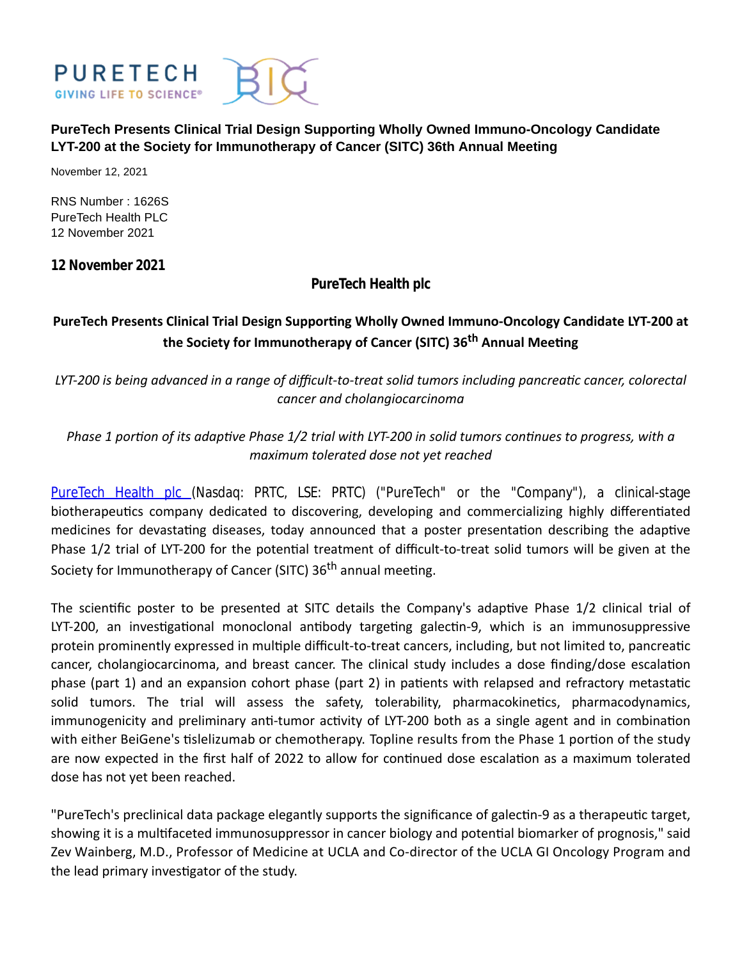

**PureTech Presents Clinical Trial Design Supporting Wholly Owned Immuno-Oncology Candidate LYT-200 at the Society for Immunotherapy of Cancer (SITC) 36th Annual Meeting**

November 12, 2021

RNS Number : 1626S PureTech Health PLC 12 November 2021

**12 November 2021**

**PureTech Health plc**

## **PureTech Presents Clinical Trial Design Supporting Wholly Owned Immuno-Oncology Candidate LYT-200 at the Society for Immunotherapy of Cancer (SITC) 36<sup>th</sup> Annual Meeting**

*LYT-200 is being advanced in a range of difficult-to-treat solid tumors including pancreaƟc cancer, colorectal cancer and cholangiocarcinoma*

*Phase 1 portion of its adaptive Phase 1/2 trial with LYT-200 in solid tumors continues to progress, with a maximum tolerated dose not yet reached*

[PureTech Health plc](http://www.puretechhealth.com/) (Nasdaq: PRTC, LSE: PRTC) ("PureTech" or the "Company"), a clinical-stage biotherapeutics company dedicated to discovering, developing and commercializing highly differentiated medicines for devastating diseases, today announced that a poster presentation describing the adaptive Phase 1/2 trial of LYT-200 for the potential treatment of difficult-to-treat solid tumors will be given at the Society for Immunotherapy of Cancer (SITC) 36<sup>th</sup> annual meeting.

The scientific poster to be presented at SITC details the Company's adaptive Phase 1/2 clinical trial of LYT-200, an investigational monoclonal antibody targeting galectin-9, which is an immunosuppressive protein prominently expressed in multiple difficult-to-treat cancers, including, but not limited to, pancreatic cancer, cholangiocarcinoma, and breast cancer. The clinical study includes a dose finding/dose escalation phase (part 1) and an expansion cohort phase (part 2) in patients with relapsed and refractory metastatic solid tumors. The trial will assess the safety, tolerability, pharmacokinetics, pharmacodynamics, immunogenicity and preliminary anti-tumor activity of LYT-200 both as a single agent and in combination with either BeiGene's tislelizumab or chemotherapy. Topline results from the Phase 1 portion of the study are now expected in the first half of 2022 to allow for continued dose escalation as a maximum tolerated dose has not yet been reached.

"PureTech's preclinical data package elegantly supports the significance of galectin-9 as a therapeutic target, showing it is a multifaceted immunosuppressor in cancer biology and potential biomarker of prognosis," said Zev Wainberg, M.D., Professor of Medicine at UCLA and Co-director of the UCLA GI Oncology Program and the lead primary investigator of the study.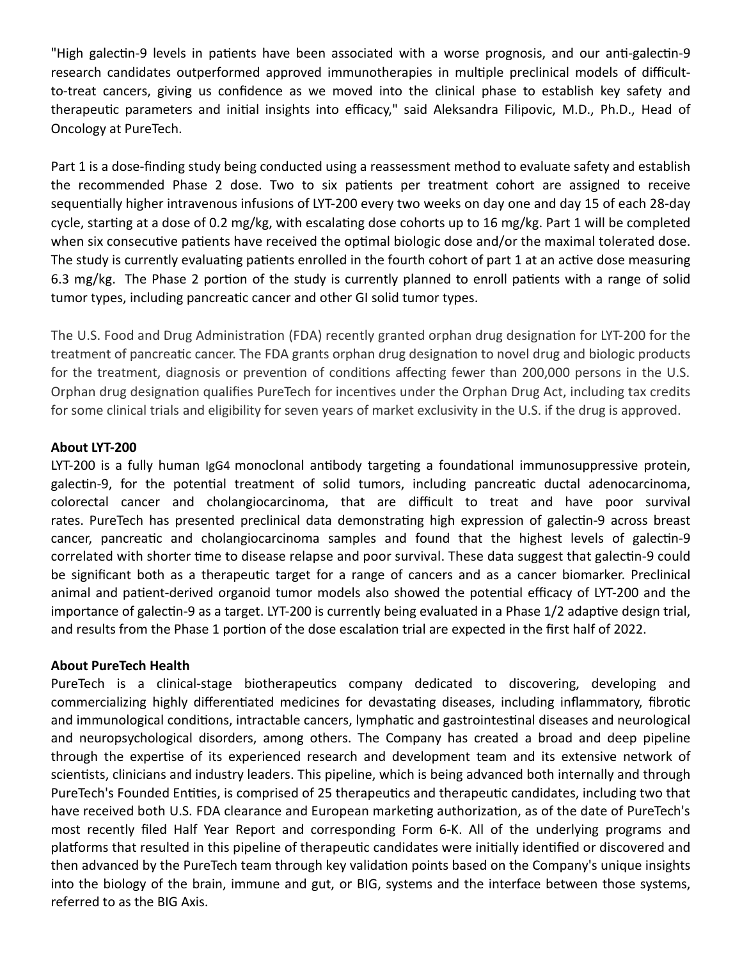"High galectin-9 levels in patients have been associated with a worse prognosis, and our anti-galectin-9 research candidates outperformed approved immunotherapies in multiple preclinical models of difficultto-treat cancers, giving us confidence as we moved into the clinical phase to establish key safety and therapeutic parameters and initial insights into efficacy," said Aleksandra Filipovic, M.D., Ph.D., Head of Oncology at PureTech.

Part 1 is a dose-finding study being conducted using a reassessment method to evaluate safety and establish the recommended Phase 2 dose. Two to six patients per treatment cohort are assigned to receive sequentially higher intravenous infusions of LYT-200 every two weeks on day one and day 15 of each 28-day cycle, starting at a dose of 0.2 mg/kg, with escalating dose cohorts up to 16 mg/kg. Part 1 will be completed when six consecutive patients have received the optimal biologic dose and/or the maximal tolerated dose. The study is currently evaluating patients enrolled in the fourth cohort of part 1 at an active dose measuring 6.3 mg/kg. The Phase 2 portion of the study is currently planned to enroll patients with a range of solid tumor types, including pancreatic cancer and other GI solid tumor types.

The U.S. Food and Drug Administration (FDA) recently granted orphan drug designation for LYT-200 for the treatment of pancreatic cancer. The FDA grants orphan drug designation to novel drug and biologic products for the treatment, diagnosis or prevention of conditions affecting fewer than 200,000 persons in the U.S. Orphan drug designation qualifies PureTech for incentives under the Orphan Drug Act, including tax credits for some clinical trials and eligibility for seven years of market exclusivity in the U.S. if the drug is approved.

## **About LYT-200**

LYT-200 is a fully human IgG4 monoclonal antibody targeting a foundational immunosuppressive protein, galectin-9, for the potential treatment of solid tumors, including pancreatic ductal adenocarcinoma, colorectal cancer and cholangiocarcinoma, that are difficult to treat and have poor survival rates. PureTech has presented preclinical data demonstrating high expression of galectin-9 across breast cancer, pancreatic and cholangiocarcinoma samples and found that the highest levels of galectin-9 correlated with shorter time to disease relapse and poor survival. These data suggest that galectin-9 could be significant both as a therapeutic target for a range of cancers and as a cancer biomarker. Preclinical animal and patient-derived organoid tumor models also showed the potential efficacy of LYT-200 and the importance of galectin-9 as a target. LYT-200 is currently being evaluated in a Phase 1/2 adaptive design trial, and results from the Phase 1 portion of the dose escalation trial are expected in the first half of 2022.

## **About PureTech Health**

PureTech is a clinical-stage biotherapeutics company dedicated to discovering, developing and commercializing highly differentiated medicines for devastating diseases, including inflammatory, fibrotic and immunological conditions, intractable cancers, lymphatic and gastrointestinal diseases and neurological and neuropsychological disorders, among others. The Company has created a broad and deep pipeline through the expertise of its experienced research and development team and its extensive network of scientists, clinicians and industry leaders. This pipeline, which is being advanced both internally and through PureTech's Founded Entities, is comprised of 25 therapeutics and therapeutic candidates, including two that have received both U.S. FDA clearance and European marketing authorization, as of the date of PureTech's most recently filed Half Year Report and corresponding Form 6-K. All of the underlying programs and platforms that resulted in this pipeline of therapeutic candidates were initially identified or discovered and then advanced by the PureTech team through key validation points based on the Company's unique insights into the biology of the brain, immune and gut, or BIG, systems and the interface between those systems, referred to as the BIG Axis.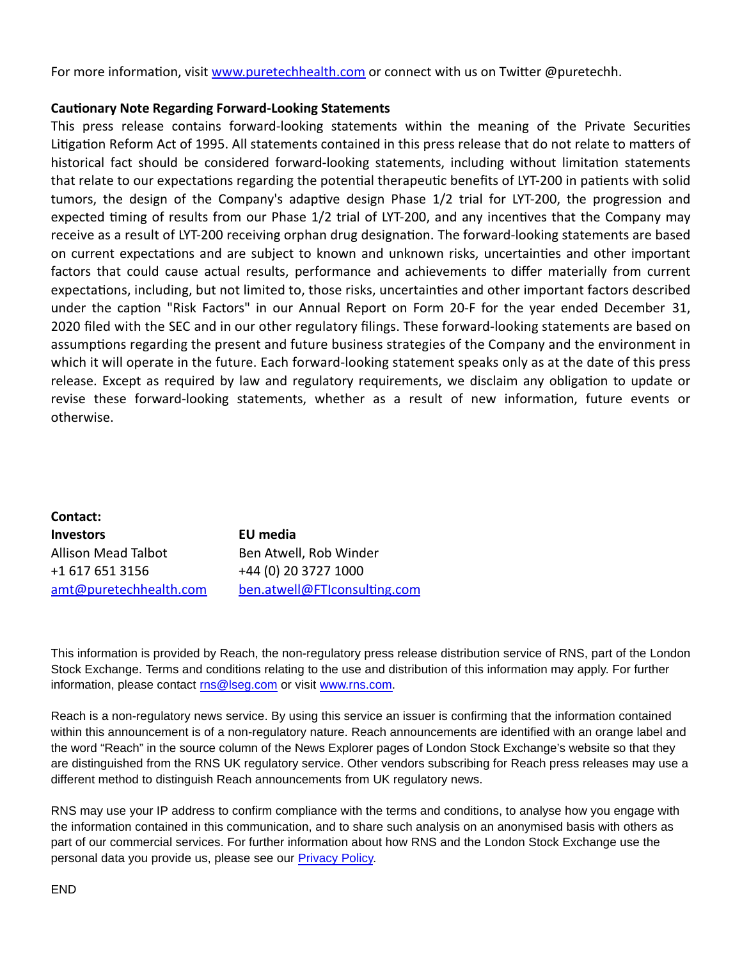For more information, visit [www.puretechhealth.com o](http://www.puretechhealth.com/)r connect with us on Twitter @puretechh.

## **CauƟonary Note Regarding Forward-Looking Statements**

This press release contains forward-looking statements within the meaning of the Private Securities Litigation Reform Act of 1995. All statements contained in this press release that do not relate to matters of historical fact should be considered forward-looking statements, including without limitation statements that relate to our expectations regarding the potential therapeutic benefits of LYT-200 in patients with solid tumors, the design of the Company's adaptive design Phase 1/2 trial for LYT-200, the progression and expected timing of results from our Phase 1/2 trial of LYT-200, and any incentives that the Company may receive as a result of LYT-200 receiving orphan drug designation. The forward-looking statements are based on current expectations and are subject to known and unknown risks, uncertainties and other important factors that could cause actual results, performance and achievements to differ materially from current expectations, including, but not limited to, those risks, uncertainties and other important factors described under the caption "Risk Factors" in our Annual Report on Form 20-F for the year ended December 31, 2020 filed with the SEC and in our other regulatory filings. These forward-looking statements are based on assumptions regarding the present and future business strategies of the Company and the environment in which it will operate in the future. Each forward-looking statement speaks only as at the date of this press release. Except as required by law and regulatory requirements, we disclaim any obligation to update or revise these forward-looking statements, whether as a result of new information, future events or otherwise.

**Contact: Investors EU media** Allison Mead Talbot +1 617 651 3156 [amt@puretechhealth.com](mailto:amt@puretechhealth.com) Ben Atwell, Rob Winder +44 (0) 20 3727 1000 ben.atwell@FTIconsulting.com

This information is provided by Reach, the non-regulatory press release distribution service of RNS, part of the London Stock Exchange. Terms and conditions relating to the use and distribution of this information may apply. For further information, please contact [rns@lseg.com o](mailto:rns@lseg.com)r visit [www.rns.com.](http://www.rns.com/)

Reach is a non-regulatory news service. By using this service an issuer is confirming that the information contained within this announcement is of a non-regulatory nature. Reach announcements are identified with an orange label and the word "Reach" in the source column of the News Explorer pages of London Stock Exchange's website so that they are distinguished from the RNS UK regulatory service. Other vendors subscribing for Reach press releases may use a different method to distinguish Reach announcements from UK regulatory news.

RNS may use your IP address to confirm compliance with the terms and conditions, to analyse how you engage with the information contained in this communication, and to share such analysis on an anonymised basis with others as part of our commercial services. For further information about how RNS and the London Stock Exchange use the personal data you provide us, please see our **Privacy Policy**.